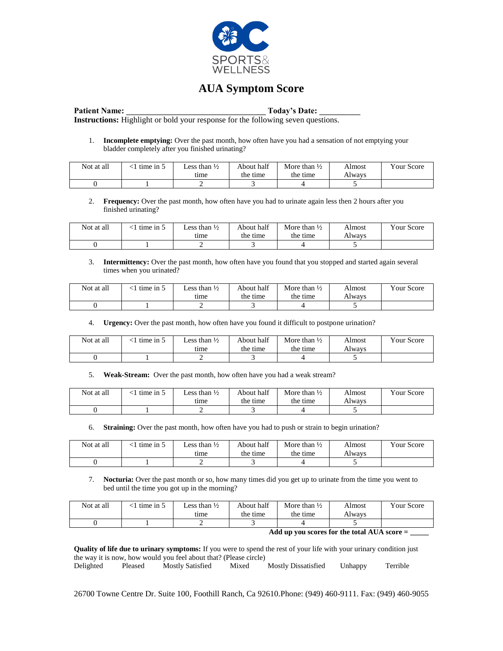

## **AUA Symptom Score**

Patient Name: Today's Date: **Instructions:** Highlight or bold your response for the following seven questions.

1. **Incomplete emptying:** Over the past month, how often have you had a sensation of not emptying your bladder completely after you finished urinating?

| Not at all | $^{\prime}$ time in $\sim$ | Less than $\frac{1}{2}$<br>tıme | About half<br>the time | More than $\frac{1}{2}$<br>the time | Almost<br>Alwavs | Vour Score |
|------------|----------------------------|---------------------------------|------------------------|-------------------------------------|------------------|------------|
|            |                            |                                 |                        |                                     |                  |            |

2. **Frequency:** Over the past month, how often have you had to urinate again less then 2 hours after you finished urinating?

| Not at all | $\pm$ time in $\pm$ | Less than $\frac{1}{2}$ | About half | More than $\frac{1}{2}$ | Almost | Vour Score |
|------------|---------------------|-------------------------|------------|-------------------------|--------|------------|
|            |                     | tıme                    | the time   | the time                | Alwavs |            |
|            |                     | <b>_</b>                |            |                         |        |            |

3. **Intermittency:** Over the past month, how often have you found that you stopped and started again several times when you urinated?

| Not at all | time in $\ddot{\circ}$ | Less than $\frac{1}{2}$<br>tıme | About half<br>the time | More than $\frac{1}{2}$<br>the time | Almost<br>Always | Your Score |
|------------|------------------------|---------------------------------|------------------------|-------------------------------------|------------------|------------|
|            |                        |                                 |                        |                                     |                  |            |

4. **Urgency:** Over the past month, how often have you found it difficult to postpone urination?

| Not at all | $\leq$ 1 time in $\leq$ | Less than $\frac{1}{2}$ | About half | More than $\frac{1}{2}$ | Almost | Vour Score |
|------------|-------------------------|-------------------------|------------|-------------------------|--------|------------|
|            |                         | tıme                    | the time   | the time                | Alwavs |            |
|            |                         |                         |            |                         |        |            |

5. **Weak-Stream:** Over the past month, how often have you had a weak stream?

| Not at all | time in $5$ | Less than $\frac{1}{2}$ | About half | More than $\frac{1}{2}$ | Almost | Vour Score |
|------------|-------------|-------------------------|------------|-------------------------|--------|------------|
|            |             | tıme                    | the time   | the time                | Alwavs |            |
|            |             |                         |            |                         |        |            |

6. **Straining:** Over the past month, how often have you had to push or strain to begin urination?

| Not at all | ' time in $\gtrsim$ | Less than $\frac{1}{2}$ | About half | More than $\frac{1}{2}$ | Almost | <b>Your Score</b> |
|------------|---------------------|-------------------------|------------|-------------------------|--------|-------------------|
|            |                     | time                    | the time   | the time                | Alwavs |                   |
|            |                     |                         |            |                         |        |                   |

7. **Nocturia:** Over the past month or so, how many times did you get up to urinate from the time you went to bed until the time you got up in the morning?

| Not at all | $\leq$ 1 time in 5 | Less than $\frac{1}{2}$<br>tıme | About half<br>the time | More than $\frac{1}{2}$<br>the time | Almost<br>Alwavs | <b>Your Score</b> |
|------------|--------------------|---------------------------------|------------------------|-------------------------------------|------------------|-------------------|
|            |                    | -                               |                        |                                     |                  |                   |

**Add up you scores for the total AUA score = \_\_\_\_\_**

**Quality of life due to urinary symptoms:** If you were to spend the rest of your life with your urinary condition just the way it is now, how would you feel about that? (Please circle)

Delighted Pleased Mostly Satisfied Mixed Mostly Dissatisfied Unhappy Terrible

26700 Towne Centre Dr. Suite 100, Foothill Ranch, Ca 92610.Phone: (949) 460-9111. Fax: (949) 460-9055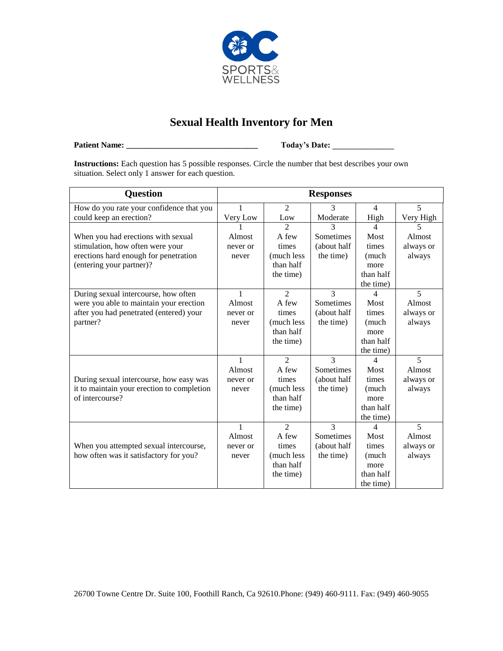

## **Sexual Health Inventory for Men**

**Patient Name: \_\_\_\_\_\_\_\_\_\_\_\_\_\_\_\_\_\_\_\_\_\_\_\_\_\_\_\_\_\_\_\_ Today's Date: \_\_\_\_\_\_\_\_\_\_\_\_\_\_\_**

**Instructions:** Each question has 5 possible responses. Circle the number that best describes your own situation. Select only 1 answer for each question.

| <b>Question</b>                            |              |                             | <b>Responses</b> |                          |                |
|--------------------------------------------|--------------|-----------------------------|------------------|--------------------------|----------------|
| How do you rate your confidence that you   | 1            | $\overline{2}$              | 3                | $\overline{4}$           | $\overline{5}$ |
| could keep an erection?                    | Very Low     | Low                         | Moderate         | High                     | Very High      |
|                                            |              | $\mathcal{D}_{\mathcal{L}}$ | 3                | 4                        | 5              |
| When you had erections with sexual         | Almost       | A few                       | Sometimes        | Most                     | Almost         |
| stimulation, how often were your           | never or     | times                       | (about half      | times                    | always or      |
| erections hard enough for penetration      | never        | (much less                  | the time)        | (much                    | always         |
| (entering your partner)?                   |              | than half                   |                  | more                     |                |
|                                            |              | the time)                   |                  | than half                |                |
|                                            |              |                             |                  | the time)                |                |
| During sexual intercourse, how often       | $\mathbf{1}$ | $\overline{2}$              | 3                | 4                        | 5              |
| were you able to maintain your erection    | Almost       | A few                       | Sometimes        | Most                     | Almost         |
| after you had penetrated (entered) your    | never or     | times                       | (about half      | times                    | always or      |
| partner?                                   | never        | (much less                  | the time)        | (much                    | always         |
|                                            |              | than half                   |                  | more                     |                |
|                                            |              | the time)                   |                  | than half                |                |
|                                            |              |                             |                  | the time)                |                |
|                                            | $\mathbf{1}$ | $\overline{2}$              | $\mathcal{R}$    | $\overline{\mathcal{L}}$ | 5              |
|                                            | Almost       | A few                       | Sometimes        | Most                     | Almost         |
| During sexual intercourse, how easy was    | never or     | times                       | (about half      | times                    | always or      |
| it to maintain your erection to completion | never        | (much less                  | the time)        | (much                    | always         |
| of intercourse?                            |              | than half                   |                  | more                     |                |
|                                            |              | the time)                   |                  | than half                |                |
|                                            |              |                             |                  | the time)                |                |
|                                            | $\mathbf{1}$ | $\mathfrak{D}$              | $\mathcal{R}$    | 4                        | 5              |
|                                            | Almost       | A few                       | Sometimes        | Most                     | Almost         |
| When you attempted sexual intercourse,     | never or     | times                       | (about half      | times                    | always or      |
| how often was it satisfactory for you?     | never        | (much less                  | the time)        | (much                    | always         |
|                                            |              | than half                   |                  | more                     |                |
|                                            |              | the time)                   |                  | than half                |                |
|                                            |              |                             |                  | the time)                |                |